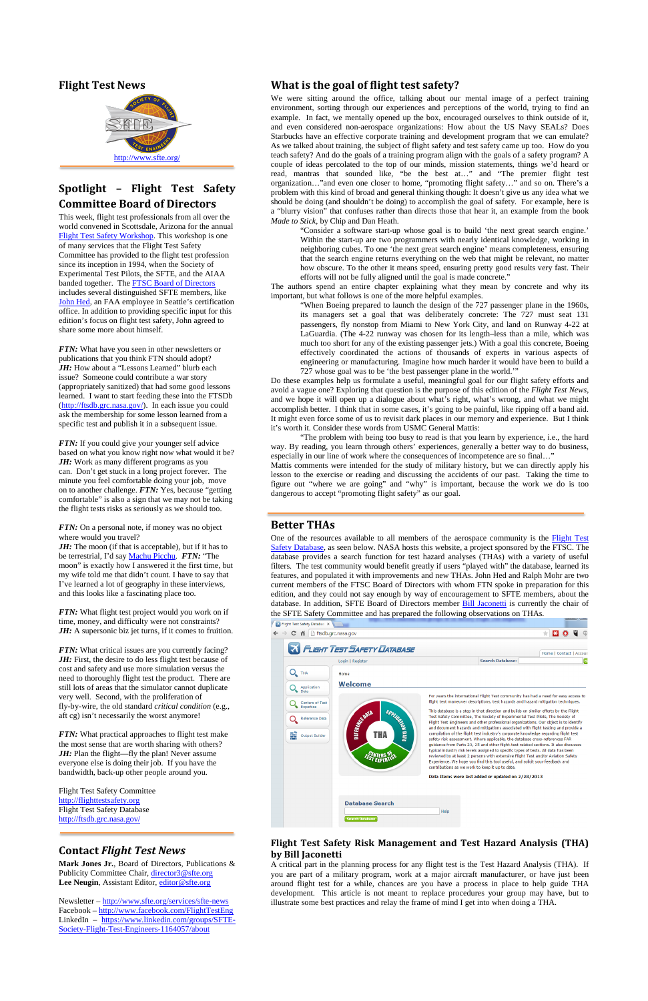### **Flight Test News**



# **Spotlight – Flight Test Safety Committee Board of Directors**

This week, flight test professionals from all over the world convened in Scottsdale, Arizona for the annual [Flight Test Safety Workshop.](http://flighttestsafety.org/workshops) This workshop is one of many services that the Flight Test Safety Committee has provided to the flight test profession since its inception in 1994, when the Society of Experimental Test Pilots, the SFTE, and the AIAA banded together. The **FTSC Board of Directors** includes several distinguished SFTE members, like [John Hed,](http://flighttestsafety.org/directors/77-about-ftsc/board-of-directors/93-john-hed-faa) an FAA employee in Seattle's certification office. In addition to providing specific input for this edition's focus on flight test safety, John agreed to share some more about himself.

*FTN:* What have you seen in other newsletters or publications that you think FTN should adopt? JH: How about a "Lessons Learned" blurb each issue? Someone could contribute a war story (appropriately sanitized) that had some good lessons learned. I want to start feeding these into the FTSDb [\(http://ftsdb.grc.nasa.gov/\)](http://ftsdb.grc.nasa.gov/). In each issue you could ask the membership for some lesson learned from a specific test and publish it in a subsequent issue.

*FTN:* If you could give your younger self advice based on what you know right now what would it be? *JH:* Work as many different programs as you can. Don't get stuck in a long project forever. The minute you feel comfortable doing your job, move on to another challenge. *FTN:* Yes, because "getting comfortable" is also a sign that we may not be taking the flight tests risks as seriously as we should too.

*FTN:* On a personal note, if money was no object where would you travel?

*JH*: The moon (if that is acceptable), but if it has to be terrestrial, I'd say [Machu Picchu.](http://en.wikipedia.org/wiki/Machu_Picchu) *FTN:* "The moon" is exactly how I answered it the first time, but my wife told me that didn't count. I have to say that I've learned a lot of geography in these interviews, and this looks like a fascinating place too.

*FTN:* What flight test project would you work on if time, money, and difficulty were not constraints? *JH:* A supersonic biz jet turns, if it comes to fruition.

*FTN:* What critical issues are you currently facing? *JH*: First, the desire to do less flight test because of cost and safety and use more simulation versus the need to thoroughly flight test the product. There are still lots of areas that the simulator cannot duplicate very well. Second, with the proliferation of fly-by-wire, the old standard *critical condition* (e.g., aft cg) isn't necessarily the worst anymore!

**Mark Jones Jr.**, Board of Directors, Publications & Publicity Committee Chair, [director3@sfte.org](mailto:director3@sfte.org) Lee Neugin, Assistant Editor, [editor@sfte.org](mailto:editor@sfte.org)

*FTN:* What practical approaches to flight test make

the most sense that are worth sharing with others? *JH*: Plan the flight—fly the plan! Never assume everyone else is doing their job. If you have the bandwidth, back-up other people around you.

Flight Test Safety Committee [http://flighttestsafety.org](http://flighttestsafety.org/) Flight Test Safety Database <http://ftsdb.grc.nasa.gov/>

## **Contact** *Flight Test News*

Newsletter – <http://www.sfte.org/services/sfte-news> Facebook – <http://www.facebook.com/FlightTestEng> LinkedIn – [https://www.linkedin.com/groups/SFTE-](https://www.linkedin.com/groups/SFTE-Society-Flight-Test-Engineers-1164057/about)[Society-Flight-Test-Engineers-1164057/about](https://www.linkedin.com/groups/SFTE-Society-Flight-Test-Engineers-1164057/about)

| <b>UUUU UUUUU</b> | .<br>æ<br>Ξ                                      | safety risk assessment. Where applicable, the database cross-references FAR<br>guidance from Parts 23, 25 and other flight-test related sections. It also discusses<br>typical industry risk levels assigned to specific types of tests. All data has been<br>reviewed by at least 2 persons with extensive Flight Test and/or Aviation Safety<br>Experience. We hope you find this tool useful, and solicit your feedback and<br>contributions as we work to keep it up to date.<br>Data Items were last added or updated on 2/28/2013 |
|-------------------|--------------------------------------------------|-----------------------------------------------------------------------------------------------------------------------------------------------------------------------------------------------------------------------------------------------------------------------------------------------------------------------------------------------------------------------------------------------------------------------------------------------------------------------------------------------------------------------------------------|
|                   | <b>Database Search</b><br><b>Search Database</b> | Help                                                                                                                                                                                                                                                                                                                                                                                                                                                                                                                                    |

## **What is the goal of flight test safety?**

One of the resources available to all members of the aerospace community is the Flight Test [Safety Database,](http://ftsdb.grc.nasa.gov/) as seen below. NASA hosts this website, a project sponsored by the FTSC. The database provides a search function for test hazard analyses (THAs) with a variety of useful filters. The test community would benefit greatly if users "played with" the database, learned its features, and populated it with improvements and new THAs. John Hed and Ralph Mohr are two current members of the FTSC Board of Directors with whom FTN spoke in preparation for this edition, and they could not say enough by way of encouragement to SFTE members, about the database. In addition, SFTE Board of Directors member **Bill Jaconetti** is currently the chair of the SFTE Safety Committee and has prepared the following observations on THAs.



We were sitting around the office, talking about our mental image of a perfect training environment, sorting through our experiences and perceptions of the world, trying to find an example. In fact, we mentally opened up the box, encouraged ourselves to think outside of it, and even considered non-aerospace organizations: How about the US Navy SEALs? Does Starbucks have an effective corporate training and development program that we can emulate? As we talked about training, the subject of flight safety and test safety came up too. How do you teach safety? And do the goals of a training program align with the goals of a safety program? A couple of ideas percolated to the top of our minds, mission statements, things we'd heard or read, mantras that sounded like, "be the best at…" and "The premier flight test organization…"and even one closer to home, "promoting flight safety…" and so on. There's a problem with this kind of broad and general thinking though: It doesn't give us any idea what we should be doing (and shouldn't be doing) to accomplish the goal of safety. For example, here is a "blurry vision" that confuses rather than directs those that hear it, an example from the book *Made to Stick*, by Chip and Dan Heath.

"Consider a software start-up whose goal is to build 'the next great search engine.' Within the start-up are two programmers with nearly identical knowledge, working in neighboring cubes. To one 'the next great search engine' means completeness, ensuring that the search engine returns everything on the web that might be relevant, no matter how obscure. To the other it means speed, ensuring pretty good results very fast. Their efforts will not be fully aligned until the goal is made concrete."

The authors spend an entire chapter explaining what they mean by concrete and why its important, but what follows is one of the more helpful examples.

"When Boeing prepared to launch the design of the 727 passenger plane in the 1960s, its managers set a goal that was deliberately concrete: The 727 must seat 131 passengers, fly nonstop from Miami to New York City, and land on Runway 4-22 at LaGuardia. (The 4-22 runway was chosen for its length–less than a mile, which was much too short for any of the existing passenger jets.) With a goal this concrete, Boeing effectively coordinated the actions of thousands of experts in various aspects of engineering or manufacturing. Imagine how much harder it would have been to build a 727 whose goal was to be 'the best passenger plane in the world.'"

Do these examples help us formulate a useful, meaningful goal for our flight safety efforts and avoid a vague one? Exploring that question is the purpose of this edition of the *Flight Test News*, and we hope it will open up a dialogue about what's right, what's wrong, and what we might accomplish better. I think that in some cases, it's going to be painful, like ripping off a band aid. It might even force some of us to revisit dark places in our memory and experience. But I think it's worth it. Consider these words from USMC General Mattis:

"The problem with being too busy to read is that you learn by experience, i.e., the hard way. By reading, you learn through others' experiences, generally a better way to do business, especially in our line of work where the consequences of incompetence are so final…"

Mattis comments were intended for the study of military history, but we can directly apply his lesson to the exercise or reading and discussing the accidents of our past. Taking the time to figure out "where we are going" and "why" is important, because the work we do is too dangerous to accept "promoting flight safety" as our goal.

### **Better THAs**

### **Flight Test Safety Risk Management and Test Hazard Analysis (THA) by Bill Jaconetti**

A critical part in the planning process for any flight test is the Test Hazard Analysis (THA). If you are part of a military program, work at a major aircraft manufacturer, or have just been around flight test for a while, chances are you have a process in place to help guide THA development. This article is not meant to replace procedures your group may have, but to illustrate some best practices and relay the frame of mind I get into when doing a THA.